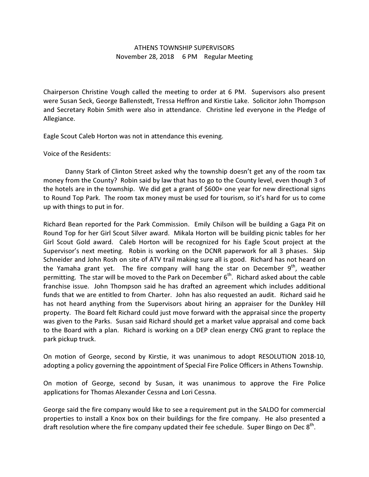## ATHENS TOWNSHIP SUPERVISORS November 28, 2018 6 PM Regular Meeting

Chairperson Christine Vough called the meeting to order at 6 PM. Supervisors also present were Susan Seck, George Ballenstedt, Tressa Heffron and Kirstie Lake. Solicitor John Thompson and Secretary Robin Smith were also in attendance. Christine led everyone in the Pledge of Allegiance.

Eagle Scout Caleb Horton was not in attendance this evening.

Voice of the Residents:

 Danny Stark of Clinton Street asked why the township doesn't get any of the room tax money from the County? Robin said by law that has to go to the County level, even though 3 of the hotels are in the township. We did get a grant of \$600+ one year for new directional signs to Round Top Park. The room tax money must be used for tourism, so it's hard for us to come up with things to put in for.

Richard Bean reported for the Park Commission. Emily Chilson will be building a Gaga Pit on Round Top for her Girl Scout Silver award. Mikala Horton will be building picnic tables for her Girl Scout Gold award. Caleb Horton will be recognized for his Eagle Scout project at the Supervisor's next meeting. Robin is working on the DCNR paperwork for all 3 phases. Skip Schneider and John Rosh on site of ATV trail making sure all is good. Richard has not heard on the Yamaha grant yet. The fire company will hang the star on December  $9<sup>th</sup>$ , weather permitting. The star will be moved to the Park on December  $6<sup>th</sup>$ . Richard asked about the cable franchise issue. John Thompson said he has drafted an agreement which includes additional funds that we are entitled to from Charter. John has also requested an audit. Richard said he has not heard anything from the Supervisors about hiring an appraiser for the Dunkley Hill property. The Board felt Richard could just move forward with the appraisal since the property was given to the Parks. Susan said Richard should get a market value appraisal and come back to the Board with a plan. Richard is working on a DEP clean energy CNG grant to replace the park pickup truck.

On motion of George, second by Kirstie, it was unanimous to adopt RESOLUTION 2018-10, adopting a policy governing the appointment of Special Fire Police Officers in Athens Township.

On motion of George, second by Susan, it was unanimous to approve the Fire Police applications for Thomas Alexander Cessna and Lori Cessna.

George said the fire company would like to see a requirement put in the SALDO for commercial properties to install a Knox box on their buildings for the fire company. He also presented a draft resolution where the fire company updated their fee schedule. Super Bingo on Dec  $8^{\text{th}}$ .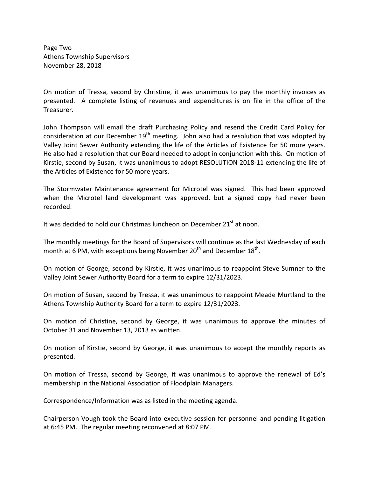Page Two Athens Township Supervisors November 28, 2018

On motion of Tressa, second by Christine, it was unanimous to pay the monthly invoices as presented. A complete listing of revenues and expenditures is on file in the office of the Treasurer.

John Thompson will email the draft Purchasing Policy and resend the Credit Card Policy for consideration at our December  $19<sup>th</sup>$  meeting. John also had a resolution that was adopted by Valley Joint Sewer Authority extending the life of the Articles of Existence for 50 more years. He also had a resolution that our Board needed to adopt in conjunction with this. On motion of Kirstie, second by Susan, it was unanimous to adopt RESOLUTION 2018-11 extending the life of the Articles of Existence for 50 more years.

The Stormwater Maintenance agreement for Microtel was signed. This had been approved when the Microtel land development was approved, but a signed copy had never been recorded.

It was decided to hold our Christmas luncheon on December  $21<sup>st</sup>$  at noon.

The monthly meetings for the Board of Supervisors will continue as the last Wednesday of each month at 6 PM, with exceptions being November  $20<sup>th</sup>$  and December  $18<sup>th</sup>$ .

On motion of George, second by Kirstie, it was unanimous to reappoint Steve Sumner to the Valley Joint Sewer Authority Board for a term to expire 12/31/2023.

On motion of Susan, second by Tressa, it was unanimous to reappoint Meade Murtland to the Athens Township Authority Board for a term to expire 12/31/2023.

On motion of Christine, second by George, it was unanimous to approve the minutes of October 31 and November 13, 2013 as written.

On motion of Kirstie, second by George, it was unanimous to accept the monthly reports as presented.

On motion of Tressa, second by George, it was unanimous to approve the renewal of Ed's membership in the National Association of Floodplain Managers.

Correspondence/Information was as listed in the meeting agenda.

Chairperson Vough took the Board into executive session for personnel and pending litigation at 6:45 PM. The regular meeting reconvened at 8:07 PM.